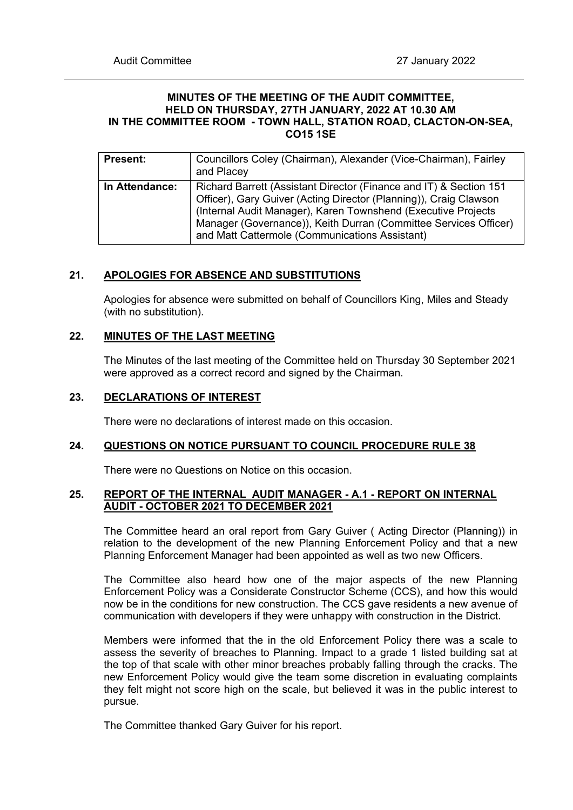### **MINUTES OF THE MEETING OF THE AUDIT COMMITTEE, HELD ON THURSDAY, 27TH JANUARY, 2022 AT 10.30 AM IN THE COMMITTEE ROOM - TOWN HALL, STATION ROAD, CLACTON-ON-SEA, CO15 1SE**

| <b>Present:</b> | Councillors Coley (Chairman), Alexander (Vice-Chairman), Fairley<br>and Placey                                                                                                                                                                                                                                                 |
|-----------------|--------------------------------------------------------------------------------------------------------------------------------------------------------------------------------------------------------------------------------------------------------------------------------------------------------------------------------|
| In Attendance:  | Richard Barrett (Assistant Director (Finance and IT) & Section 151<br>Officer), Gary Guiver (Acting Director (Planning)), Craig Clawson<br>(Internal Audit Manager), Karen Townshend (Executive Projects<br>Manager (Governance)), Keith Durran (Committee Services Officer)<br>and Matt Cattermole (Communications Assistant) |

# **21. APOLOGIES FOR ABSENCE AND SUBSTITUTIONS**

Apologies for absence were submitted on behalf of Councillors King, Miles and Steady (with no substitution).

## **22. MINUTES OF THE LAST MEETING**

The Minutes of the last meeting of the Committee held on Thursday 30 September 2021 were approved as a correct record and signed by the Chairman.

#### **23. DECLARATIONS OF INTEREST**

There were no declarations of interest made on this occasion.

## **24. QUESTIONS ON NOTICE PURSUANT TO COUNCIL PROCEDURE RULE 38**

There were no Questions on Notice on this occasion.

#### **25. REPORT OF THE INTERNAL AUDIT MANAGER - A.1 - REPORT ON INTERNAL AUDIT - OCTOBER 2021 TO DECEMBER 2021**

The Committee heard an oral report from Gary Guiver ( Acting Director (Planning)) in relation to the development of the new Planning Enforcement Policy and that a new Planning Enforcement Manager had been appointed as well as two new Officers.

The Committee also heard how one of the major aspects of the new Planning Enforcement Policy was a Considerate Constructor Scheme (CCS), and how this would now be in the conditions for new construction. The CCS gave residents a new avenue of communication with developers if they were unhappy with construction in the District.

Members were informed that the in the old Enforcement Policy there was a scale to assess the severity of breaches to Planning. Impact to a grade 1 listed building sat at the top of that scale with other minor breaches probably falling through the cracks. The new Enforcement Policy would give the team some discretion in evaluating complaints they felt might not score high on the scale, but believed it was in the public interest to pursue.

The Committee thanked Gary Guiver for his report.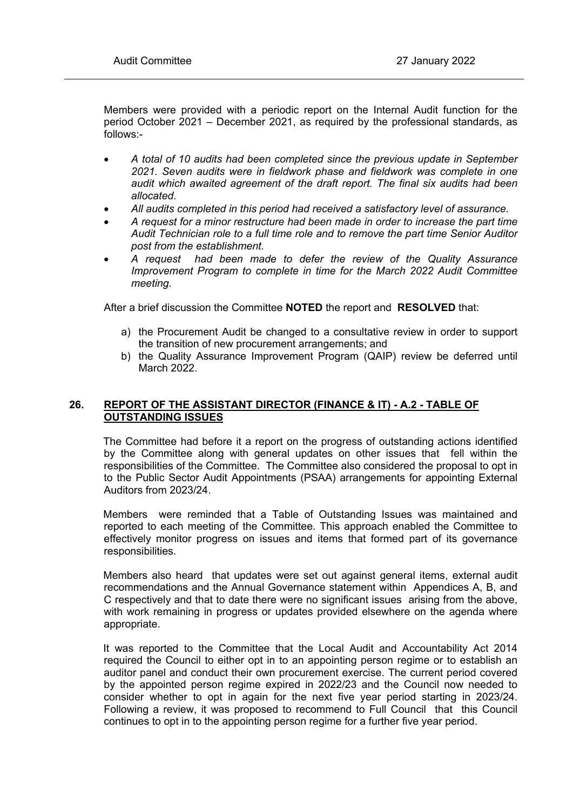Members were provided with a periodic report on the Internal Audit function for the period October 2021 – December 2021, as required by the professional standards, as follows:-

- *A total of 10 audits had been completed since the previous update in September 2021. Seven audits were in fieldwork phase and fieldwork was complete in one audit which awaited agreement of the draft report. The final six audits had been allocated.*
- *All audits completed in this period had received a satisfactory level of assurance.*
- *A request for a minor restructure had been made in order to increase the part time Audit Technician role to a full time role and to remove the part time Senior Auditor post from the establishment.*
- *A request had been made to defer the review of the Quality Assurance Improvement Program to complete in time for the March 2022 Audit Committee meeting.*

After a brief discussion the Committee **NOTED** the report and **RESOLVED** that:

- a) the Procurement Audit be changed to a consultative review in order to support the transition of new procurement arrangements; and
- b) the Quality Assurance Improvement Program (QAIP) review be deferred until March 2022.

# **26. REPORT OF THE ASSISTANT DIRECTOR (FINANCE & IT) - A.2 - TABLE OF OUTSTANDING ISSUES**

The Committee had before it a report on the progress of outstanding actions identified by the Committee along with general updates on other issues that fell within the responsibilities of the Committee. The Committee also considered the proposal to opt in to the Public Sector Audit Appointments (PSAA) arrangements for appointing External Auditors from 2023/24.

Members were reminded that a Table of Outstanding Issues was maintained and reported to each meeting of the Committee. This approach enabled the Committee to effectively monitor progress on issues and items that formed part of its governance responsibilities.

Members also heard that updates were set out against general items, external audit recommendations and the Annual Governance statement within Appendices A, B, and C respectively and that to date there were no significant issues arising from the above, with work remaining in progress or updates provided elsewhere on the agenda where appropriate.

It was reported to the Committee that the Local Audit and Accountability Act 2014 required the Council to either opt in to an appointing person regime or to establish an auditor panel and conduct their own procurement exercise. The current period covered by the appointed person regime expired in 2022/23 and the Council now needed to consider whether to opt in again for the next five year period starting in 2023/24. Following a review, it was proposed to recommend to Full Council that this Council continues to opt in to the appointing person regime for a further five year period.